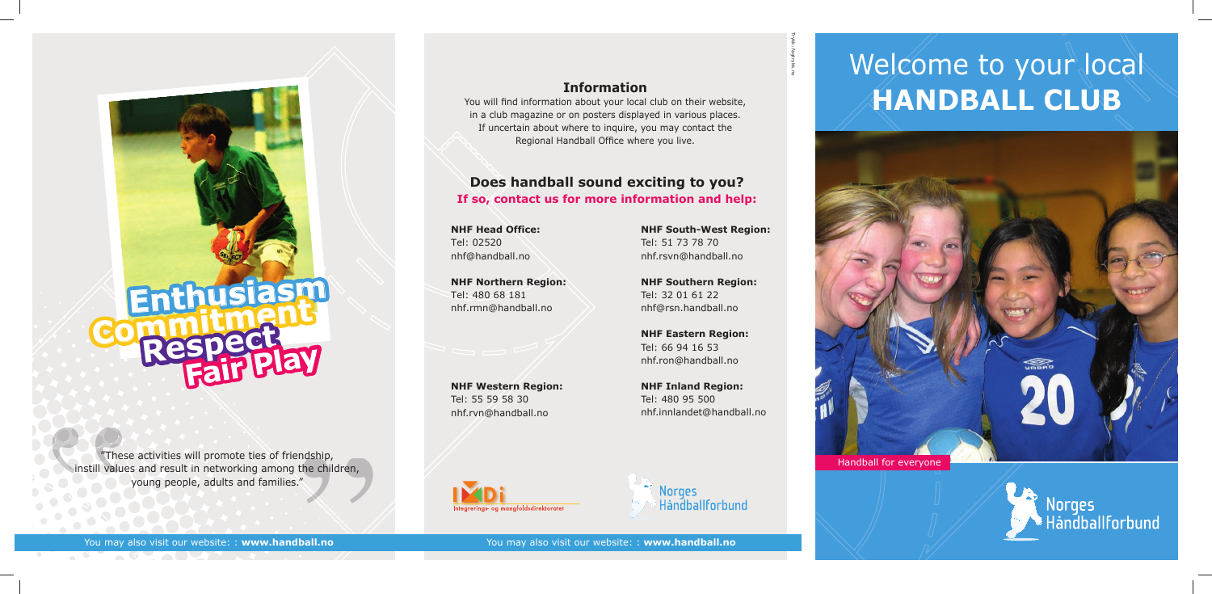# **Does handball sound exciting to you? If so, contact us for more information and help:**

You may also visit our website: : **www.handball.no** You may also visit our website: : **www.handball.no**

# **Information**

# Welcome to your local **HANDBALL CLUB**

You will find information about your local club on their website, in a club magazine or on posters displayed in various places. If uncertain about where to inquire, you may contact the Regional Handball Office where you live.

**Enthusiasm**

**Commitmen<sup>t</sup> Respect**





"These activities will promote ties of friendship, instill values and result in networking among the children, young people, adults and families."

dship,<br>ne children,<br>*a* 

" CO

**NHF Head Office:** Tel: 02520 nhf@handball.no

**NHF Northern Region:** Tel: 480 68 181 nhf.rmn@handball.no

**NHF Western Region:** Tel: 55 59 58 30 nhf.rvn@handball.no



**NHF South-West Region:** Tel: 51 73 78 70 nhf.rsvn@handball.no

**NHF Southern Region:** Tel: 32 01 61 22 nhf@rsn.handball.no

**NHF Eastern Region:** Tel: 66 94 16 53 nhf.ron@handball.no

**NHF Inland Region:** Tel: 480 95 500 nhf.innlandet@handball.no

Norges Handballforbund Trykk: fagtrykk.no